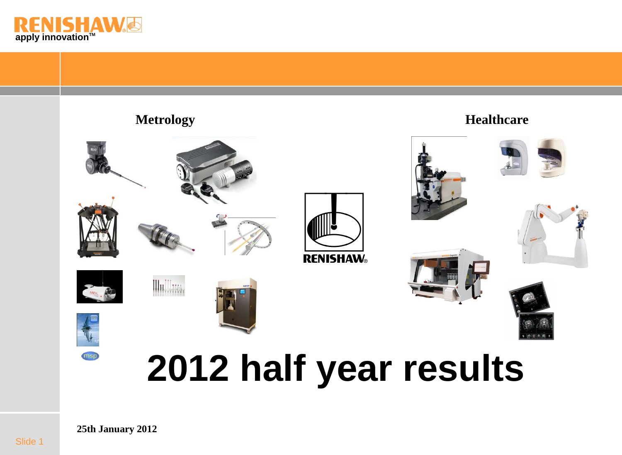



**25th January 2012**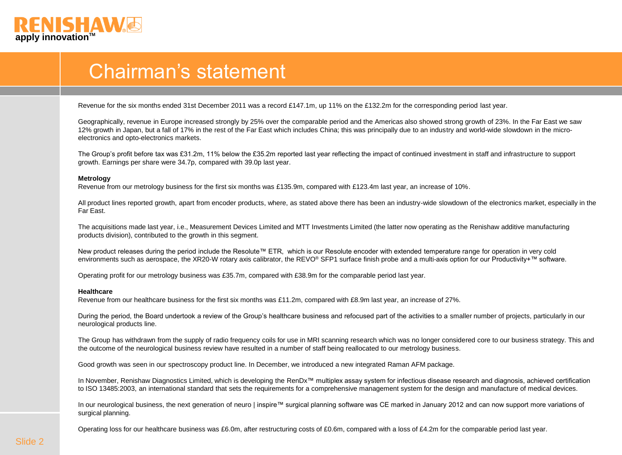

## Chairman's statement

Revenue for the six months ended 31st December 2011 was a record £147.1m, up 11% on the £132.2m for the corresponding period last year.

Geographically, revenue in Europe increased strongly by 25% over the comparable period and the Americas also showed strong growth of 23%. In the Far East we saw 12% growth in Japan, but a fall of 17% in the rest of the Far East which includes China; this was principally due to an industry and world-wide slowdown in the microelectronics and opto-electronics markets.

The Group's profit before tax was £31.2m, 11% below the £35.2m reported last year reflecting the impact of continued investment in staff and infrastructure to support growth. Earnings per share were 34.7p, compared with 39.0p last year.

### **Metrology**

Revenue from our metrology business for the first six months was £135.9m, compared with £123.4m last year, an increase of 10%.

All product lines reported growth, apart from encoder products, where, as stated above there has been an industry-wide slowdown of the electronics market, especially in the Far East.

The acquisitions made last year, i.e., Measurement Devices Limited and MTT Investments Limited (the latter now operating as the Renishaw additive manufacturing products division), contributed to the growth in this segment.

New product releases during the period include the Resolute™ ETR, which is our Resolute encoder with extended temperature range for operation in very cold environments such as aerospace, the XR20-W rotary axis calibrator, the REVO® SFP1 surface finish probe and a multi-axis option for our Productivity+™ software.

Operating profit for our metrology business was £35.7m, compared with £38.9m for the comparable period last year.

#### **Healthcare**

Revenue from our healthcare business for the first six months was £11.2m, compared with £8.9m last year, an increase of 27%.

During the period, the Board undertook a review of the Group's healthcare business and refocused part of the activities to a smaller number of projects, particularly in our neurological products line.

The Group has withdrawn from the supply of radio frequency coils for use in MRI scanning research which was no longer considered core to our business strategy. This and the outcome of the neurological business review have resulted in a number of staff being reallocated to our metrology business.

Good growth was seen in our spectroscopy product line. In December, we introduced a new integrated Raman AFM package.

In November, Renishaw Diagnostics Limited, which is developing the RenDx™ multiplex assay system for infectious disease research and diagnosis, achieved certification to ISO 13485:2003, an international standard that sets the requirements for a comprehensive management system for the design and manufacture of medical devices.

In our neurological business, the next generation of neuro | inspire™ surgical planning software was CE marked in January 2012 and can now support more variations of surgical planning.

Operating loss for our healthcare business was £6.0m, after restructuring costs of £0.6m, compared with a loss of £4.2m for the comparable period last year.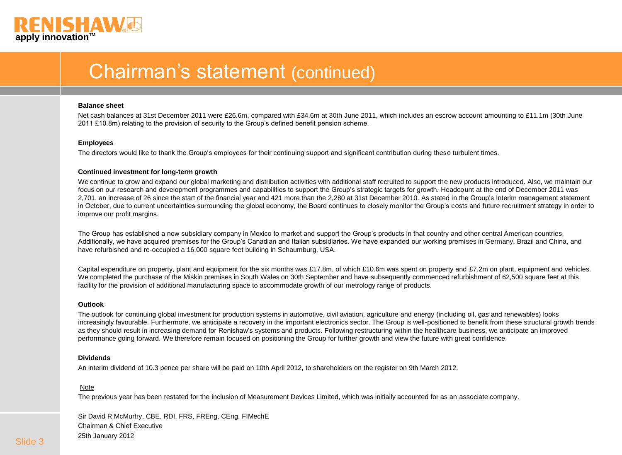

# Chairman's statement (continued)

### **Balance sheet**

Net cash balances at 31st December 2011 were £26.6m, compared with £34.6m at 30th June 2011, which includes an escrow account amounting to £11.1m (30th June 2011 £10.8m) relating to the provision of security to the Group's defined benefit pension scheme.

### **Employees**

The directors would like to thank the Group's employees for their continuing support and significant contribution during these turbulent times.

### **Continued investment for long-term growth**

We continue to grow and expand our global marketing and distribution activities with additional staff recruited to support the new products introduced. Also, we maintain our focus on our research and development programmes and capabilities to support the Group's strategic targets for growth. Headcount at the end of December 2011 was 2,701, an increase of 26 since the start of the financial year and 421 more than the 2,280 at 31st December 2010. As stated in the Group's Interim management statement in October, due to current uncertainties surrounding the global economy, the Board continues to closely monitor the Group's costs and future recruitment strategy in order to improve our profit margins.

The Group has established a new subsidiary company in Mexico to market and support the Group's products in that country and other central American countries. Additionally, we have acquired premises for the Group's Canadian and Italian subsidiaries. We have expanded our working premises in Germany, Brazil and China, and have refurbished and re-occupied a 16,000 square feet building in Schaumburg, USA.

Capital expenditure on property, plant and equipment for the six months was £17.8m, of which £10.6m was spent on property and £7.2m on plant, equipment and vehicles. We completed the purchase of the Miskin premises in South Wales on 30th September and have subsequently commenced refurbishment of 62,500 square feet at this facility for the provision of additional manufacturing space to accommodate growth of our metrology range of products.

#### **Outlook**

The outlook for continuing global investment for production systems in automotive, civil aviation, agriculture and energy (including oil, gas and renewables) looks increasingly favourable. Furthermore, we anticipate a recovery in the important electronics sector. The Group is well-positioned to benefit from these structural growth trends as they should result in increasing demand for Renishaw's systems and products. Following restructuring within the healthcare business, we anticipate an improved performance going forward. We therefore remain focused on positioning the Group for further growth and view the future with great confidence.

#### **Dividends**

An interim dividend of 10.3 pence per share will be paid on 10th April 2012, to shareholders on the register on 9th March 2012.

### Note

The previous year has been restated for the inclusion of Measurement Devices Limited, which was initially accounted for as an associate company.

Sir David R McMurtry, CBE, RDI, FRS, FREng, CEng, FIMechE Chairman & Chief Executive 25th January 2012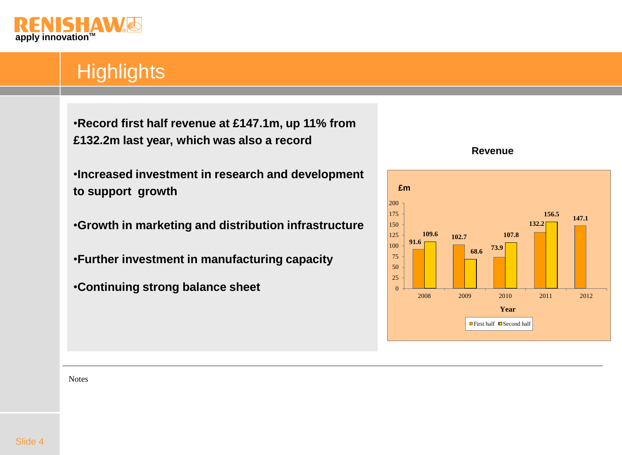

# **Highlights**

•**Record first half revenue at £147.1m, up 11% from £132.2m last year, which was also a record**

•**Increased investment in research and development to support growth**

•**Growth in marketing and distribution infrastructure**

•**Further investment in manufacturing capacity**

•**Continuing strong balance sheet**



**Revenue**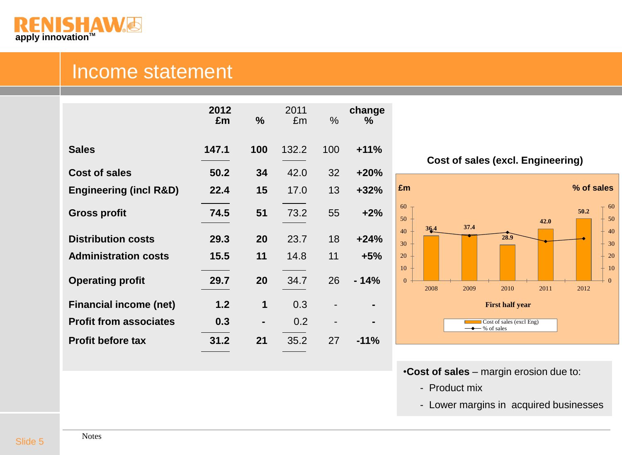

|                                   | 2012<br>£m | $\frac{0}{0}$ | 2011<br>£m | $\frac{0}{0}$ | change<br>℅ |
|-----------------------------------|------------|---------------|------------|---------------|-------------|
| <b>Sales</b>                      | 147.1      | 100           | 132.2      | 100           | $+11%$      |
| Cost of sales                     | 50.2       | 34            | 42.0       | 32            | $+20%$      |
| <b>Engineering (incl R&amp;D)</b> | 22.4       | 15            | 17.0       | 13            | $+32%$      |
| <b>Gross profit</b>               | 74.5       | 51            | 73.2       | 55            | $+2%$       |
| <b>Distribution costs</b>         | 29.3       | 20            | 23.7       | 18            | $+24%$      |
| <b>Administration costs</b>       | 15.5       | 11            | 14.8       | 11            | $+5%$       |
| <b>Operating profit</b>           | 29.7       | 20            | 34.7       | 26            | $-14%$      |
| <b>Financial income (net)</b>     | 1.2        | 1             | 0.3        |               |             |
| <b>Profit from associates</b>     | 0.3        |               | 0.2        |               |             |
| <b>Profit before tax</b>          | 31.2       | 21            | 35.2       | 27            | $-11%$      |

## **Cost of sales (excl. Engineering)**



•**Cost of sales** – margin erosion due to:

- Product mix
- Lower margins in acquired businesses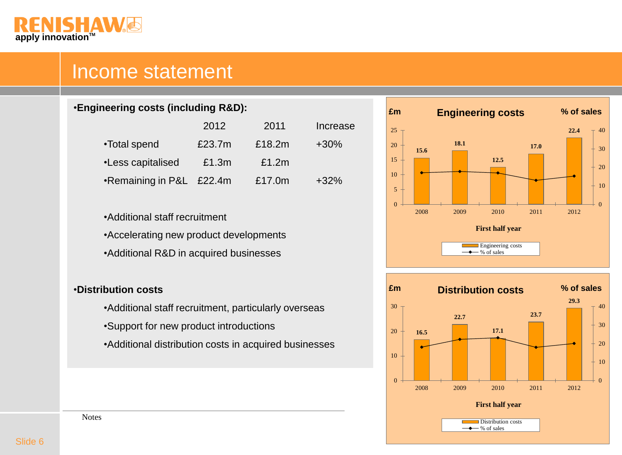

### •**Engineering costs (including R&D):**

|                   | 2012   | 2011   | Increase |
|-------------------|--------|--------|----------|
| •Total spend      | £23.7m | £18.2m | $+30%$   |
| •Less capitalised | £1.3m  | £1.2m  |          |
| •Remaining in P&L | £22.4m | £17.0m | $+32%$   |

- •Additional staff recruitment
- •Accelerating new product developments
- •Additional R&D in acquired businesses

### •**Distribution costs**

- •Additional staff recruitment, particularly overseas
- •Support for new product introductions
- •Additional distribution costs in acquired businesses



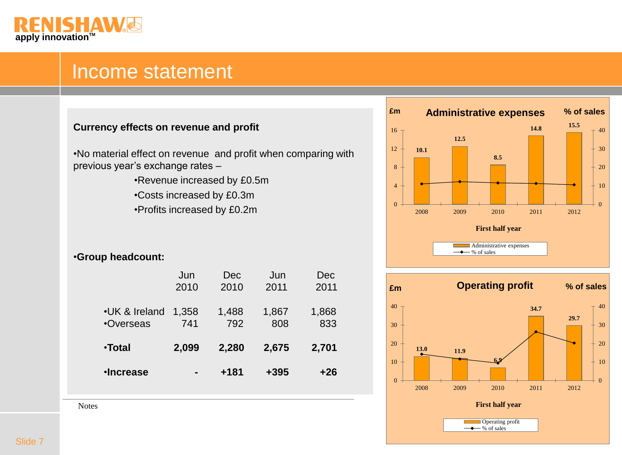





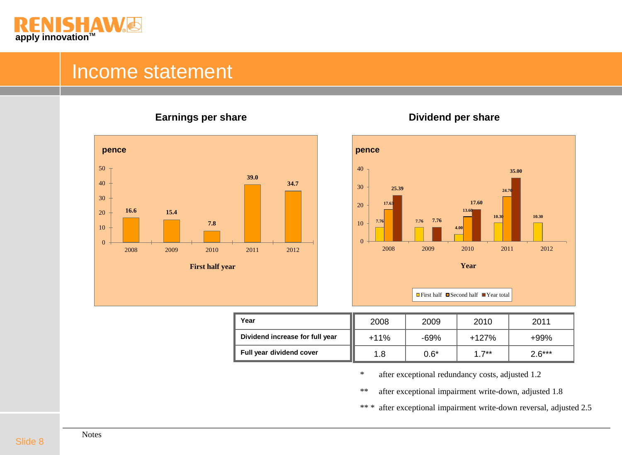



| Year                            | 2008   | 2009    | 2010    | 2011     |
|---------------------------------|--------|---------|---------|----------|
| Dividend increase for full year | $+11%$ | $-69%$  | $+127%$ | $+99%$   |
| Full year dividend cover        | 1.8    | $0.6^*$ | $7**$   | $2.6***$ |

\* after exceptional redundancy costs, adjusted 1.2

\*\* after exceptional impairment write-down, adjusted 1.8

\*\* \* after exceptional impairment write-down reversal, adjusted 2.5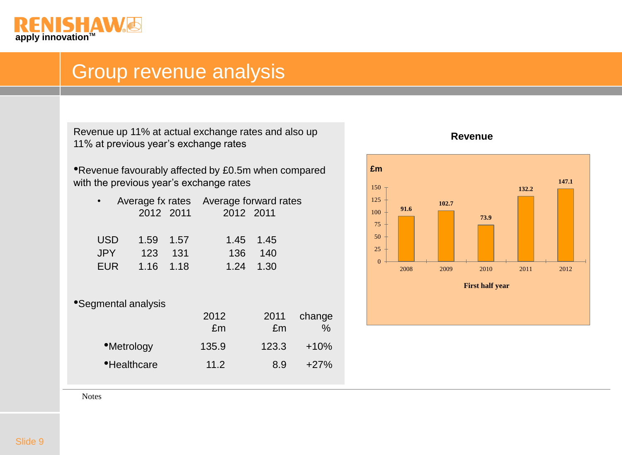

# Group revenue analysis

Revenue up 11% at actual exchange rates and also up 11% at previous year's exchange rates

•Revenue favourably affected by £0.5m when compared with the previous year's exchange rates

| Average fx rates Average forward rates |             |           |           |           |  |
|----------------------------------------|-------------|-----------|-----------|-----------|--|
|                                        |             | 2012 2011 | 2012 2011 |           |  |
|                                        |             |           |           |           |  |
| <b>USD</b>                             | 1.59 1.57   |           |           | 1.45 1.45 |  |
| <b>JPY</b>                             | 123 131     |           | 136       | 140       |  |
| <b>EUR</b>                             | $1.16$ 1.18 |           |           | 1.24 1.30 |  |
|                                        |             |           |           |           |  |

•Segmental analysis

|                    | 2012  | 2011  | change |
|--------------------|-------|-------|--------|
|                    | £m    | £m    | %      |
| •Metrology         | 135.9 | 123.3 | $+10%$ |
| <b>•Healthcare</b> | 11.2  | 8.9   | $+27%$ |



**Revenue**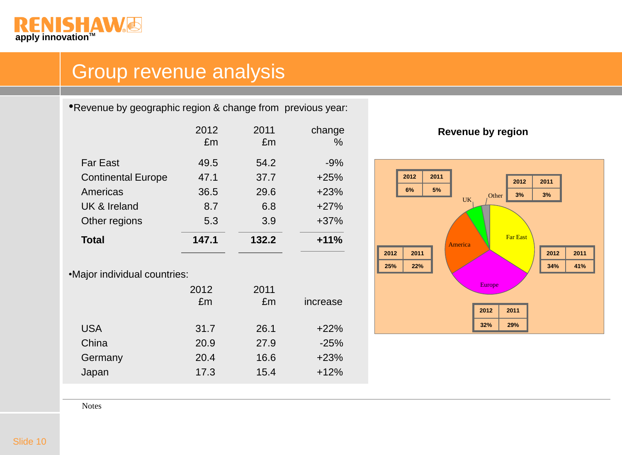

# Group revenue analysis

•Revenue by geographic region & change from previous year:

|                           | 2012<br>£m | 2011<br>£m | change<br>$\frac{0}{0}$ |
|---------------------------|------------|------------|-------------------------|
| <b>Far East</b>           | 49.5       | 54.2       | $-9%$                   |
| <b>Continental Europe</b> | 47.1       | 37.7       | $+25%$                  |
| Americas                  | 36.5       | 29.6       | $+23%$                  |
| <b>UK &amp; Ireland</b>   | 8.7        | 6.8        | $+27%$                  |
| Other regions             | 5.3        | 3.9        | $+37%$                  |
| <b>Total</b>              | 147.1      | 132.2      | $+11%$                  |

•Major individual countries:

|            | 2012<br>£m | 2011<br>£m | increase |
|------------|------------|------------|----------|
| <b>USA</b> | 31.7       | 26.1       | $+22%$   |
| China      | 20.9       | 27.9       | $-25%$   |
| Germany    | 20.4       | 16.6       | $+23%$   |
| Japan      | 17.3       | 15.4       | $+12%$   |

## **Revenue by region**

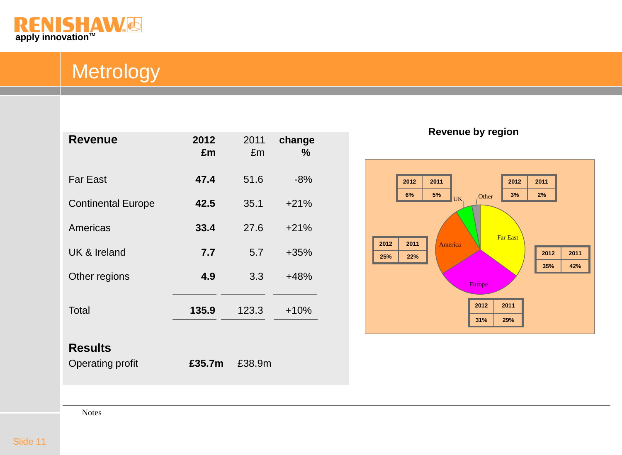

# **Metrology**

| <b>Revenue</b>            | 2012<br>£m | 2011<br>£m | change<br>$\%$ |
|---------------------------|------------|------------|----------------|
| Far East                  | 47.4       | 51.6       | $-8%$          |
| <b>Continental Europe</b> | 42.5       | 35.1       | $+21%$         |
| Americas                  | 33.4       | 27.6       | $+21%$         |
| UK & Ireland              | 7.7        | 5.7        | $+35%$         |
| Other regions             | 4.9        | 3.3        | $+48%$         |
| Total                     | 135.9      | 123.3      | $+10%$         |

## **Results**

**Revenue by region**

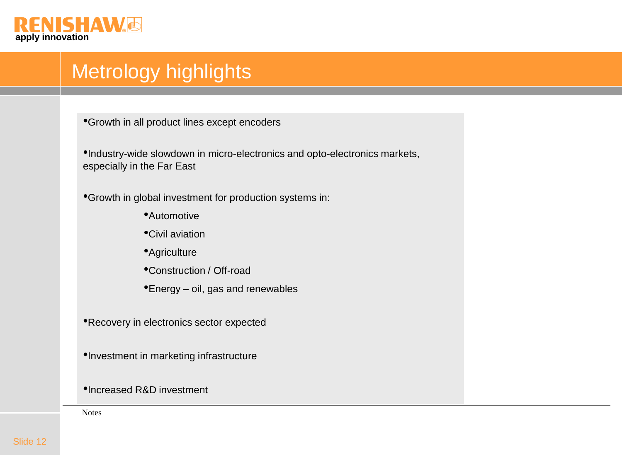

# Metrology highlights

•Growth in all product lines except encoders

•Industry-wide slowdown in micro-electronics and opto-electronics markets, especially in the Far East

•Growth in global investment for production systems in:

- •Automotive
- •Civil aviation
- •Agriculture
- •Construction / Off-road
- •Energy oil, gas and renewables

•Recovery in electronics sector expected

•Investment in marketing infrastructure

•Increased R&D investment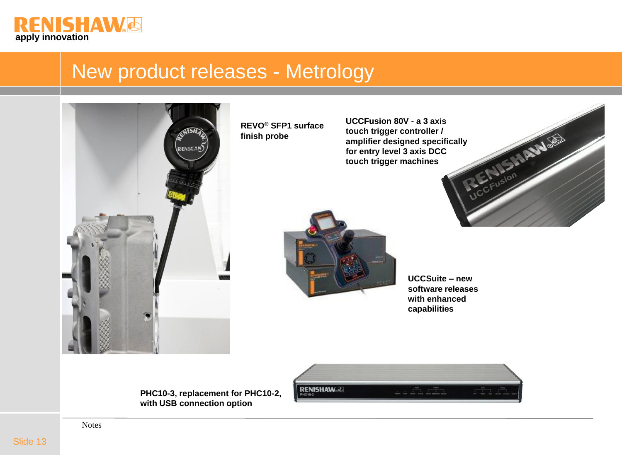

# New product releases - Metrology



**PHC10-3, replacement for PHC10-2, with USB connection option**

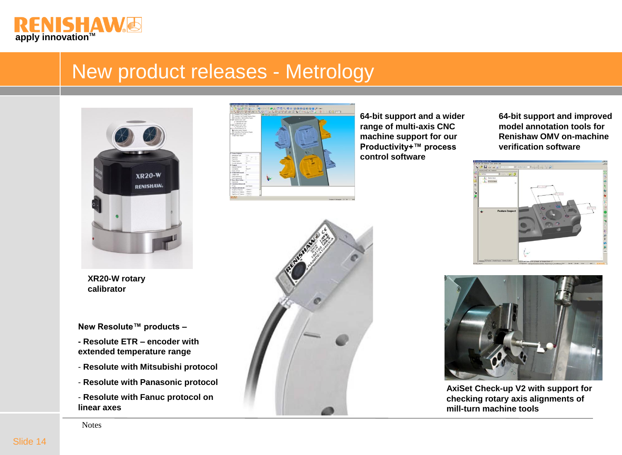

# New product releases - Metrology



**XR20-W rotary calibrator**

**New Resolute™ products –**

- **- Resolute ETR – encoder with extended temperature range**
- **Resolute with Mitsubishi protocol**
- **Resolute with Panasonic protocol**
- **Resolute with Fanuc protocol on linear axes**



**64-bit support and a wider range of multi-axis CNC machine support for our Productivity+™ process control software**

**64-bit support and improved model annotation tools for Renishaw OMV on-machine verification software**





**AxiSet Check-up V2 with support for checking rotary axis alignments of mill-turn machine tools**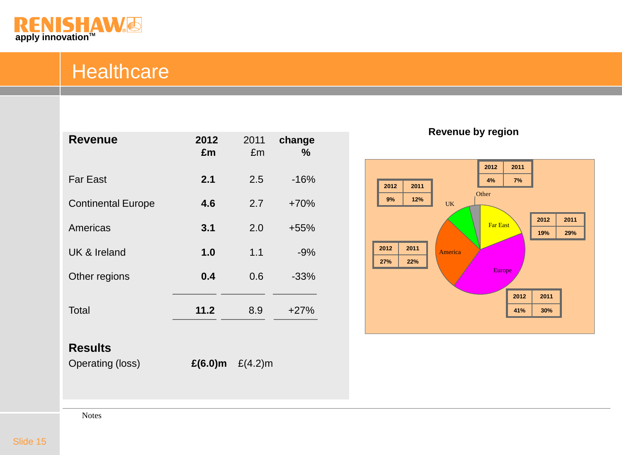

# **Healthcare**

| <b>Revenue</b>            | 2012<br>£m | 2011<br>£m | change<br>$\%$ |
|---------------------------|------------|------------|----------------|
| <b>Far East</b>           | 2.1        | 2.5        | $-16%$         |
| <b>Continental Europe</b> | 4.6        | 2.7        | $+70%$         |
| Americas                  | 3.1        | 2.0        | $+55%$         |
| <b>UK &amp; Ireland</b>   | 1.0        | 1.1        | $-9%$          |
| Other regions             | 0.4        | 0.6        | $-33%$         |
| Total                     | 11.2       | 8.9        | $+27%$         |

### **Revenue by region**



## **Results**

Operating (loss) **£(6.0)m** £(4.2)m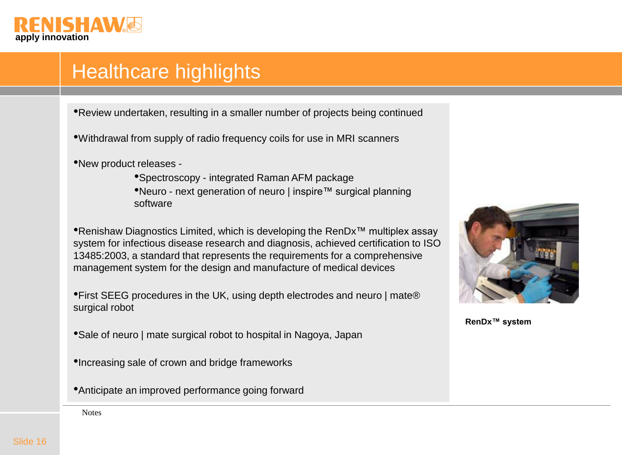

# Healthcare highlights

•Review undertaken, resulting in a smaller number of projects being continued

•Withdrawal from supply of radio frequency coils for use in MRI scanners

•New product releases -

•Spectroscopy - integrated Raman AFM package •Neuro - next generation of neuro | inspire™ surgical planning software

•Renishaw Diagnostics Limited, which is developing the RenDx™ multiplex assay system for infectious disease research and diagnosis, achieved certification to ISO 13485:2003, a standard that represents the requirements for a comprehensive management system for the design and manufacture of medical devices

•First SEEG procedures in the UK, using depth electrodes and neuro | mate® surgical robot

•Sale of neuro | mate surgical robot to hospital in Nagoya, Japan

•Increasing sale of crown and bridge frameworks

•Anticipate an improved performance going forward



**RenDx™ system** 

Slide 16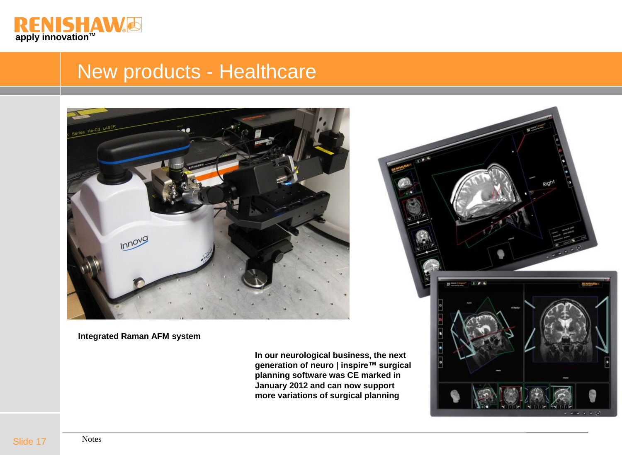

# New products - Healthcare



**Integrated Raman AFM system**

**In our neurological business, the next generation of neuro | inspire™ surgical planning software was CE marked in January 2012 and can now support more variations of surgical planning**

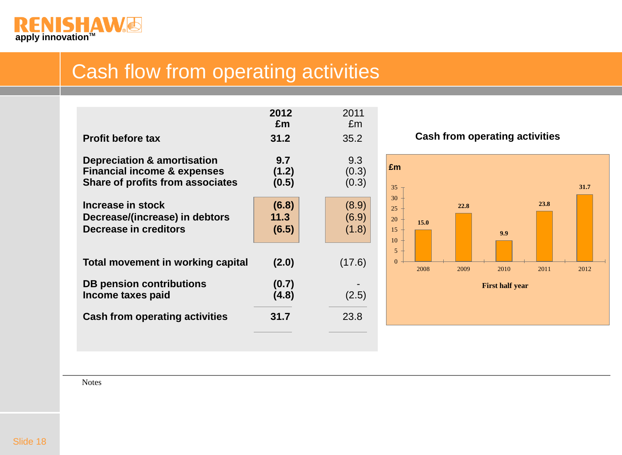

# Cash flow from operating activities

| <b>Profit before tax</b>                                                                                         | 2012<br>£m<br>31.2     | 2011<br>£m<br>35.2      |
|------------------------------------------------------------------------------------------------------------------|------------------------|-------------------------|
| Depreciation & amortisation<br><b>Financial income &amp; expenses</b><br><b>Share of profits from associates</b> | 9.7<br>(1.2)<br>(0.5)  | 9.3<br>(0.3)<br>(0.3)   |
| Increase in stock<br>Decrease/(increase) in debtors<br>Decrease in creditors                                     | (6.8)<br>11.3<br>(6.5) | (8.9)<br>(6.9)<br>(1.8) |
| <b>Total movement in working capital</b>                                                                         | (2.0)                  | (17.6)                  |
| <b>DB pension contributions</b><br>Income taxes paid                                                             | (0.7)<br>(4.8)         | (2.5)                   |
| <b>Cash from operating activities</b>                                                                            | 31.7                   | 23.8                    |

### **Cash from operating activities**

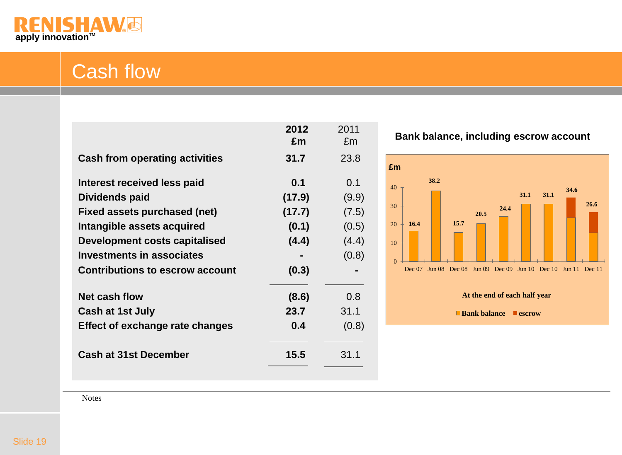

# Cash flow

|                                        | 2012   | 2011  |
|----------------------------------------|--------|-------|
|                                        | £m     | £m    |
|                                        |        |       |
| <b>Cash from operating activities</b>  | 31.7   | 23.8  |
|                                        |        |       |
| Interest received less paid            | 0.1    | 0.1   |
| Dividends paid                         | (17.9) | (9.9) |
| <b>Fixed assets purchased (net)</b>    | (17.7) | (7.5) |
| Intangible assets acquired             | (0.1)  | (0.5) |
| <b>Development costs capitalised</b>   | (4.4)  | (4.4) |
| Investments in associates              |        | (0.8) |
| <b>Contributions to escrow account</b> | (0.3)  |       |
|                                        |        |       |
| <b>Net cash flow</b>                   | (8.6)  | 0.8   |
| <b>Cash at 1st July</b>                | 23.7   | 31.1  |
| Effect of exchange rate changes        | 0.4    | (0.8) |
|                                        |        |       |
| <b>Cash at 31st December</b>           | 15.5   | 31.1  |
|                                        |        |       |

## **Bank balance, including escrow account**

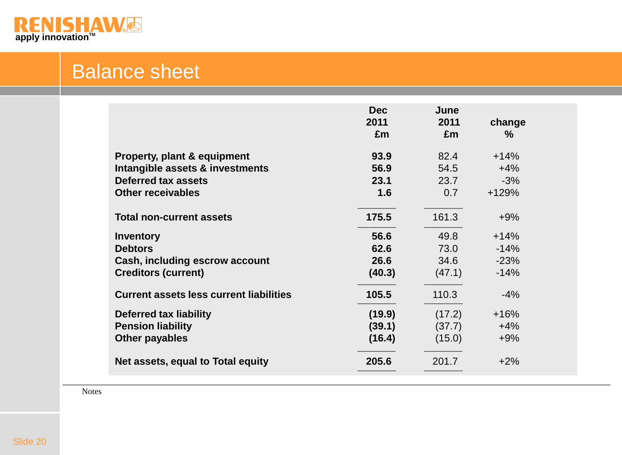

# Balance sheet

|                                                | <b>Dec</b><br>2011<br>£m | June<br>2011<br>£m | change<br>$\%$ |
|------------------------------------------------|--------------------------|--------------------|----------------|
| <b>Property, plant &amp; equipment</b>         | 93.9                     | 82.4               | $+14%$         |
| Intangible assets & investments                | 56.9                     | 54.5               | $+4%$          |
| Deferred tax assets                            | 23.1                     | 23.7               | $-3%$          |
| <b>Other receivables</b>                       | 1.6                      | 0.7                | $+129%$        |
| <b>Total non-current assets</b>                | 175.5                    | 161.3              | $+9%$          |
| <b>Inventory</b>                               | 56.6                     | 49.8               | $+14%$         |
| <b>Debtors</b>                                 | 62.6                     | 73.0               | $-14%$         |
| Cash, including escrow account                 | 26.6                     | 34.6               | $-23%$         |
| <b>Creditors (current)</b>                     | (40.3)                   | (47.1)             | $-14%$         |
| <b>Current assets less current liabilities</b> | 105.5                    | 110.3              | $-4%$          |
| Deferred tax liability                         | (19.9)                   | (17.2)             | $+16%$         |
| <b>Pension liability</b>                       | (39.1)                   | (37.7)             | $+4%$          |
| <b>Other payables</b>                          | (16.4)                   | (15.0)             | $+9%$          |
| Net assets, equal to Total equity              | 205.6                    | 201.7              | $+2%$          |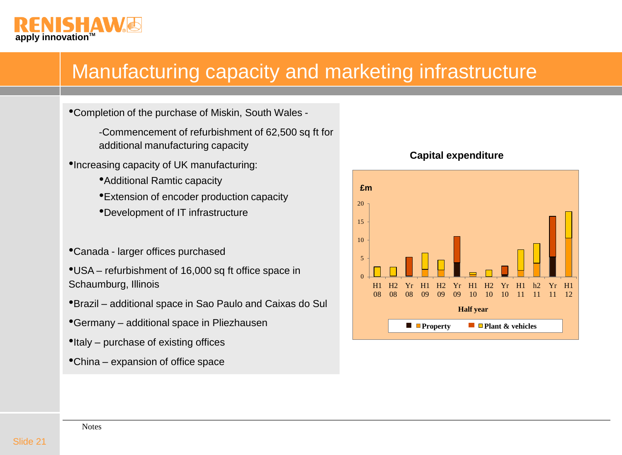

# Manufacturing capacity and marketing infrastructure

•Completion of the purchase of Miskin, South Wales -

-Commencement of refurbishment of 62,500 sq ft for additional manufacturing capacity

•Increasing capacity of UK manufacturing:

- •Additional Ramtic capacity
- •Extension of encoder production capacity
- •Development of IT infrastructure

•Canada - larger offices purchased

•USA – refurbishment of 16,000 sq ft office space in Schaumburg, Illinois

•Brazil – additional space in Sao Paulo and Caixas do Sul

•Germany – additional space in Pliezhausen

•Italy – purchase of existing offices

•China – expansion of office space



### **Capital expenditure**